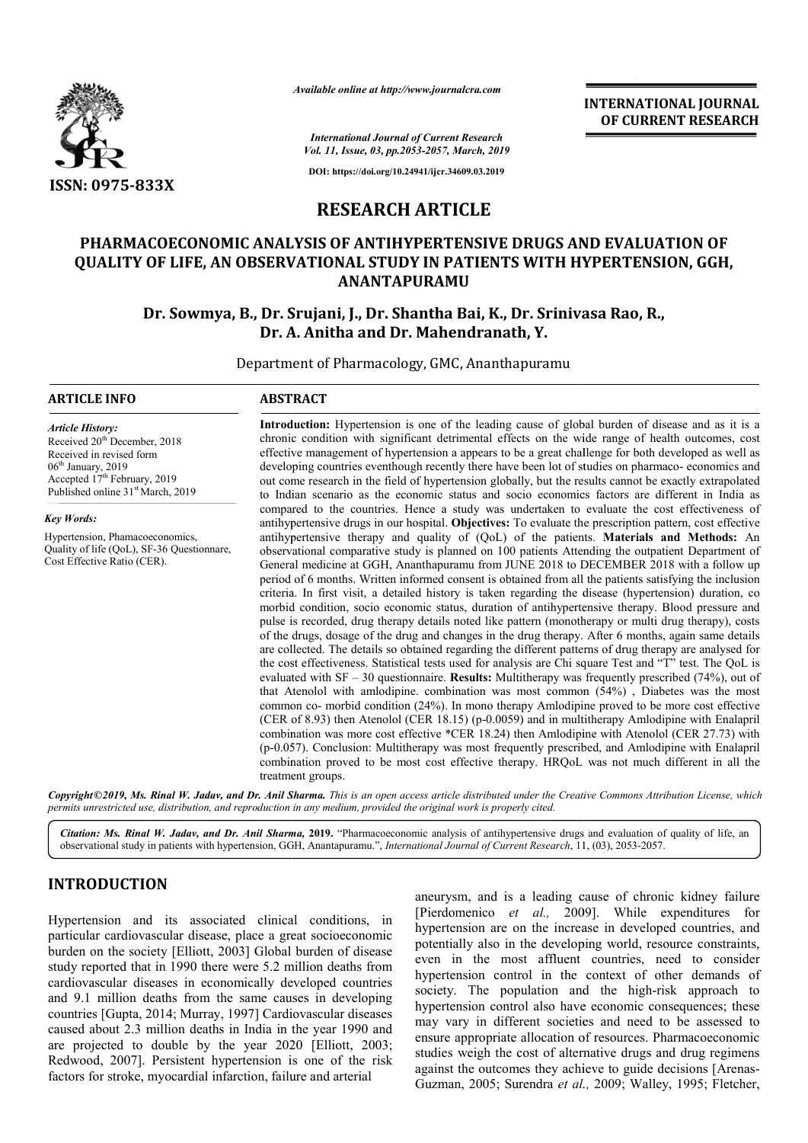

*Available online at http://www.journalcra.com*

**INTERNATIONAL JOURNAL OF CURRENT RESEARCH**

*International Journal of Current Research Vol. 11, Issue, 03, pp.2053-2057, March, 2019*

**DOI: https://doi.org/10.24941/ijcr.34609.03.2019**

# **RESEARCH ARTICLE**

# **PHARMACOECONOMIC ANALYSIS OF ANTIHYPERTENSIVE DRUGS AND EVALUATION OF PHARMACOECONOMIC ANALYSIS QUALITY OF LIFE, AN OBSERV OBSERVATIONAL STUDY IN PATIENTS WITH HYPERTENSION, GGH, ANANTAPURAMU**

Dr. Sowmya, B., Dr. Srujani, J., Dr. Shantha Bai, K., Dr. Srinivasa Rao, R., **Dr. A. Anitha and Dr. Mahendranath, Y.**

Department of Pharmacology, GMC, Ananthapuramu

#### **ARTICLE INFO ABSTRACT**

*Article History:* Received  $20<sup>th</sup>$  December, 2018 Received in revised form 06<sup>th</sup> January, 2019 Accepted 17<sup>th</sup> February, 2019 Published online 31<sup>st</sup> March, 2019

*Key Words:*

Hypertension, Phamacoeconomics, Quality of life (QoL), SF-36 Questionnare, Cost Effective Ratio (CER).

**Introduction:** Hypertension is one of the leading cause of global burden of disease and as it is a chronic condition with significant detrimental effects on the wide range of health outcomes, cost effective management of hypertension a appears to be a great challenge for both developed as well as developing countries eventhough recently there have been lot of studies on pharmaco- economics and out come research in the field of hypertension globally, but the results cannot be exactly extrapolated out come research in the field of hypertension globally, but the results cannot be exactly extrapolated to Indian scenario as the economic status and socio economics factors are different in India as compared to the countries. Hence a study was undertaken to evaluate the cost effectiveness of antihypertensive drugs in our hospital. **Objectives:** To evaluate the prescription pattern, cost effective antihypertensive drugs in our hospital. **Objectives:** To evaluate the prescription pattern, cost effective antihypertensive therapy and quality of (QoL) of the patients. **Materials and Methods:** An observational comparative study is planned on 100 patients Attending the outpatient Department of General medicin medicine at GGH, Ananthapuramu from JUNE 2018 to DECEMBER 2018 with a follow up period of 6 months. Written informed consent is obtained from all the patients satisfying the inclusion criteria. In first visit, a detailed history is taken regarding the disease (hy morbid condition, socio economic status, duration of antihypertensive therapy. Blood pressure and pulse is recorded, drug therapy details noted like pattern (monotherapy or multi drug therapy), costs of the drugs, dosage of the drug and changes in the drug therapy. After 6 months, again same details are collected. The details so obtained regarding the different patterns of drug therapy are analysed for the cost effectiveness. Statistical tests used for analysis are Chi square Test and "T" test. The QoL is evaluated with SF – 30 questionnaire. **Results:** Multitherapy was frequently prescribed (74%), out of that Atenolol with amlodipine. combination was most common (54%) , Diabetes was the most common co- morbid condition (24%). In mono therapy Amlodipine proved to be more cost effective (CER of 8.93) then Atenolol (CER 18.15) (p-0.0059) and in multitherapy Amlodipine with Enalapril combination was more cost effective \*CER 18.24) then Amlodipine with Atenolol (CER 27.73) with (p-0.057) 0.057). Conclusion: Multitherapy was most frequently prescribed, and Amlodipine with Enalapril combination proved to be most cost effective therapy. HRQoL was not much different in all the treatment groups. Introduction: Hypertension is one of the leading cause of global burden of disease and as it is a chronic condition with significant detrimental effects on the wide range of health outcomes, cost effective management of hy observational comparative study is planned on 100 patients Attending the outpatient Department of General medicine at GGH, Ananthapuramu from JUNE 2018 to DECEMBER 2018 with a follow up period of 6 months. Written informed morbid condition, socio economic status, duration of antihypertensive therapy. Blood pressure and pulse is recorded, drug therapy details noted like pattern (monotherapy or multi drug therapy), costs of the drugs, dosage o evaluated with SF – 30 questionnaire. **Results:** Multitherapy was frequently prescribed (74%), out of that Atenolol with amlodipine. combination was most common (54%), Diabetes was the most common co- morbid condition (24%

Copyright©2019, Ms. Rinal W. Jadav, and Dr. Anil Sharma. This is an open access article distributed under the Creative Commons Attribution License, which permits unrestricted use, distribution, and reproduction in any medium, provided the original work is properly cited.

Citation: Ms. Rinal W. Jadav, and Dr. Anil Sharma, 2019. "Pharmacoeconomic analysis of antihypertensive drugs and evaluation of quality of life, an observational study in patients with hypertension, GGH, Anantapuramu.", *I* observational study in patients with hypertension, GGH, Anantapuramu.", *International Journal of Current Research*, 11

# **INTRODUCTION**

Hypertension and its associated clinical conditions, in particular cardiovascular disease, place a great socioeconomic burden on the society [Elliott, 2003] Global burden of disease study reported that in 1990 there were 5.2 million deaths from cardiovascular diseases in economically developed countries and 9.1 million deaths from the same causes in developing countries [Gupta, 2014; Murray, 1997] Cardiovascular diseases caused about 2.3 million deaths in India in the year 1990 and burden on the society [Elliott, 2003] Global burden of disease study reported that in 1990 there were 5.2 million deaths from cardiovascular diseases in economically developed countries and 9.1 million deaths from the same Redwood, 2007]. Persistent hypertension is one of the risk factors for stroke, myocardial infarction, failure and arterial

aneurysm, and is a leading cause of chronic kidney failure [Pierdomenico et al., 2009]. While expenditures for hypertension are on the increase in developed countries, and potentially also in the developing world, resource constraints, even in the most affluent countries, need to consider hypertension control in the context of other demands of hypertension control in the context of other demands of society. The population and the high-risk approach to hypertension control also have economic consequences; these may vary in different societies and need to be assessed to ensure appropriate allocation of resources. Pharmacoeconomic studies weigh the cost of alternative drugs and drug regimens hypertension control also have economic consequences; these may vary in different societies and need to be assessed to ensure appropriate allocation of resources. Pharmacoeconomic studies weigh the cost of alternative drug Guzman, 2005; Surendra *et al.,*  2009; Walley, 1995; Fletcher, on the increase in developed countries, and<br>i the developing world, resource constraints,<br>ost affluent countries, need to consider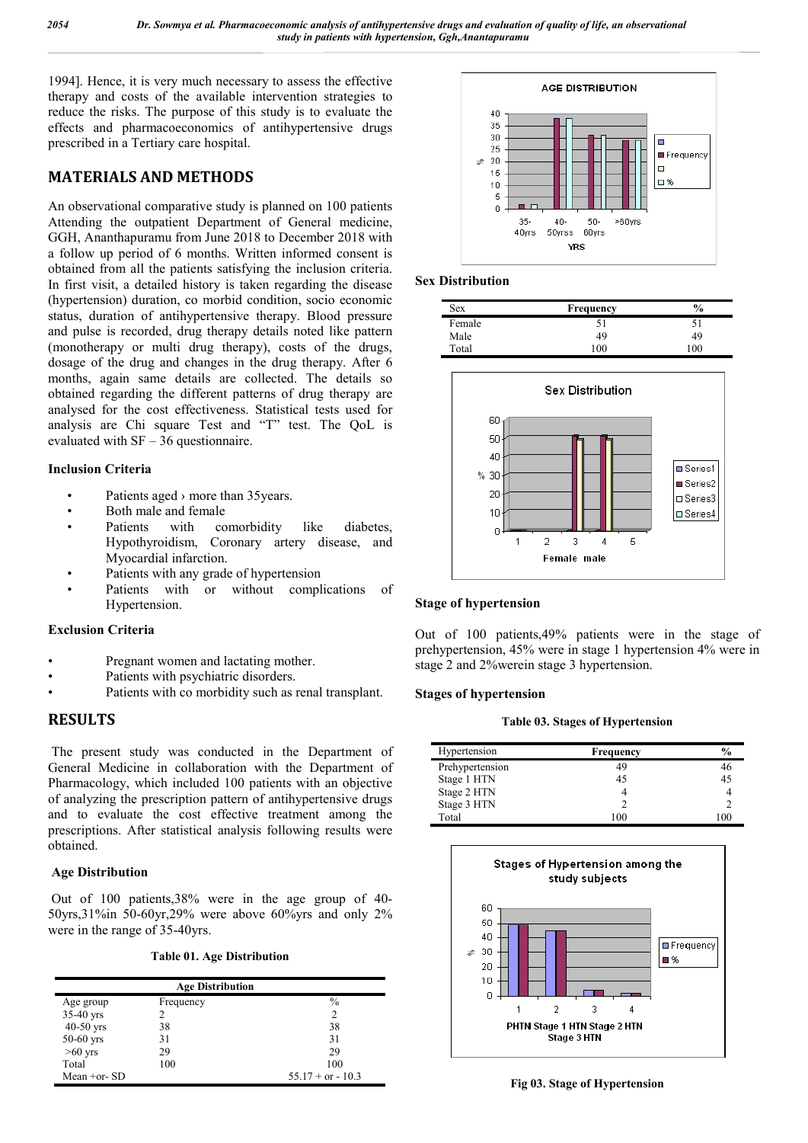1994]. Hence, it is very much necessary to assess the effective therapy and costs of the available intervention strategies to reduce the risks. The purpose of this study is to evaluate the effects and pharmacoeconomics of antihypertensive drugs prescribed in a Tertiary care hospital.

# **MATERIALS AND METHODS**

An observational comparative study is planned on 100 patients Attending the outpatient Department of General medicine, GGH, Ananthapuramu from June 2018 to December 2018 with a follow up period of 6 months. Written informed consent is obtained from all the patients satisfying the inclusion criteria. In first visit, a detailed history is taken regarding the disease (hypertension) duration, co morbid condition, socio economic status, duration of antihypertensive therapy. Blood pressure and pulse is recorded, drug therapy details noted like pattern (monotherapy or multi drug therapy), costs of the drugs, dosage of the drug and changes in the drug therapy. After 6 months, again same details are collected. The details so obtained regarding the different patterns of drug therapy are analysed for the cost effectiveness. Statistical tests used for analysis are Chi square Test and "T" test. The QoL is evaluated with SF – 36 questionnaire.

## **Inclusion Criteria**

- Patients aged > more than 35 years.
- Both male and female
- Patients with comorbidity like diabetes, Hypothyroidism, Coronary artery disease, and Myocardial infarction.
- Patients with any grade of hypertension
- Patients with or without complications of Hypertension.

# **Exclusion Criteria**

- Pregnant women and lactating mother.
- Patients with psychiatric disorders.
- Patients with co morbidity such as renal transplant.

# **RESULTS**

The present study was conducted in the Department of General Medicine in collaboration with the Department of Pharmacology, which included 100 patients with an objective of analyzing the prescription pattern of antihypertensive drugs and to evaluate the cost effective treatment among the prescriptions. After statistical analysis following results were obtained.

# **Age Distribution**

Out of 100 patients,38% were in the age group of 40- 50yrs,31%in 50-60yr,29% were above 60%yrs and only 2% were in the range of 35-40yrs.

## **Table 01. Age Distribution**

| <b>Age Distribution</b> |           |                     |  |
|-------------------------|-----------|---------------------|--|
| Age group               | Frequency | $\%$                |  |
| $35-40$ yrs             |           | $\overline{c}$      |  |
| $40-50$ yrs             | 38        | 38                  |  |
| $50-60$ yrs             | 31        | 31                  |  |
| $>60$ yrs               | 29        | 29                  |  |
| Total                   | 100       | 100                 |  |
| Mean $+$ or- $SD$       |           | $55.17 + or - 10.3$ |  |



## **Sex Distribution**

| <b>Sex</b> | <b>Frequency</b> | $\%$         |
|------------|------------------|--------------|
| Female     | эI               |              |
| Male       | 49               | 49           |
| Total      | 100              | $^{\rm 100}$ |



## **Stage of hypertension**

Out of 100 patients,49% patients were in the stage of prehypertension, 45% were in stage 1 hypertension 4% were in stage 2 and 2%werein stage 3 hypertension.

### **Stages of hypertension**

#### **Table 03. Stages of Hypertension**

| Hypertension    | <b>Frequency</b> | $\frac{6}{9}$ |
|-----------------|------------------|---------------|
| Prehypertension | 49               | 46            |
| Stage 1 HTN     | 45               | 45            |
| Stage 2 HTN     |                  |               |
| Stage 3 HTN     |                  |               |
| Total           | 100              |               |

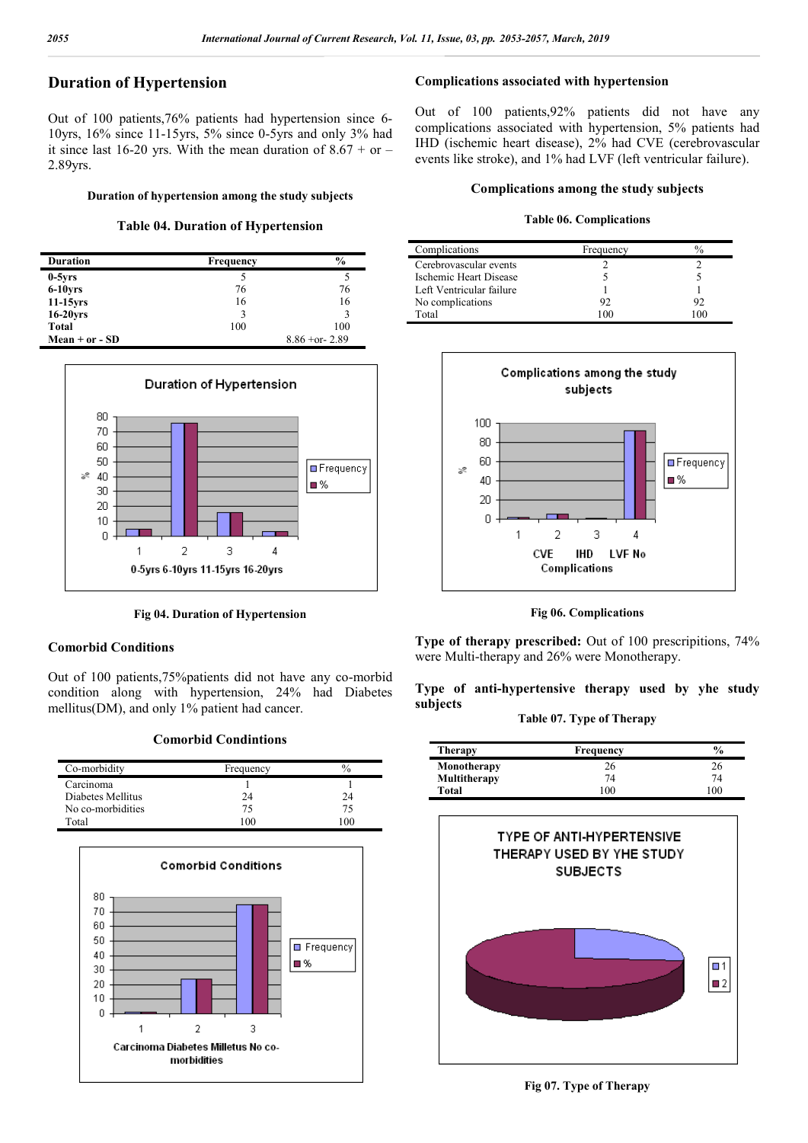# **Duration of Hypertension**

Out of 100 patients,76% patients had hypertension since 6- 10yrs, 16% since 11-15yrs, 5% since 0-5yrs and only 3% had it since last 16-20 yrs. With the mean duration of  $8.67 +$  or – 2.89yrs.

#### **Duration of hypertension among the study subjects**

## **Table 04. Duration of Hypertension**

| <b>Duration</b> | <b>Frequency</b> | $\frac{0}{0}$      |
|-----------------|------------------|--------------------|
| $0-5yrs$        |                  |                    |
| $6-10$ yrs      | 76               | 76                 |
| $11-15$ yrs     | 16               | 16                 |
| $16-20$ yrs     | 3                | 3                  |
| Total           | 100              | 100                |
| Mean + or - SD  |                  | $8.86 + or - 2.89$ |



**Fig 04. Duration of Hypertension**

## **Comorbid Conditions**

Out of 100 patients,75%patients did not have any co-morbid condition along with hypertension, 24% had Diabetes mellitus(DM), and only 1% patient had cancer.

### **Comorbid Condintions**

| Co-morbidity      | Frequency | $\frac{0}{2}$ |
|-------------------|-----------|---------------|
| Carcinoma         |           |               |
| Diabetes Mellitus | 24        | 24            |
| No co-morbidities | 75        | 75            |
| Total             | (1)       | $\Omega$      |



# **Complications associated with hypertension**

Out of 100 patients,92% patients did not have any complications associated with hypertension, 5% patients had IHD (ischemic heart disease), 2% had CVE (cerebrovascular events like stroke), and 1% had LVF (left ventricular failure).

#### **Complications among the study subjects**

#### **Table 06. Complications**

| Complications            | Frequency | ∕∩ |
|--------------------------|-----------|----|
| Cerebrovascular events   |           |    |
| Ischemic Heart Disease   |           |    |
| Left Ventricular failure |           |    |
| No complications         | 92        | 92 |
| Total                    | (1)       |    |



**Fig 06. Complications**

**Type of therapy prescribed:** Out of 100 prescripitions, 74% were Multi-therapy and 26% were Monotherapy.

# **Type of anti-hypertensive therapy used by yhe study subjects**

**Table 07. Type of Therapy**

| <b>Therapy</b> | Frequency | $\frac{6}{9}$ |
|----------------|-----------|---------------|
| Monotherapy    | 26        | 26            |
| Multitherapy   | 74        | 74            |
| Total          | 100       | $00^{\circ}$  |

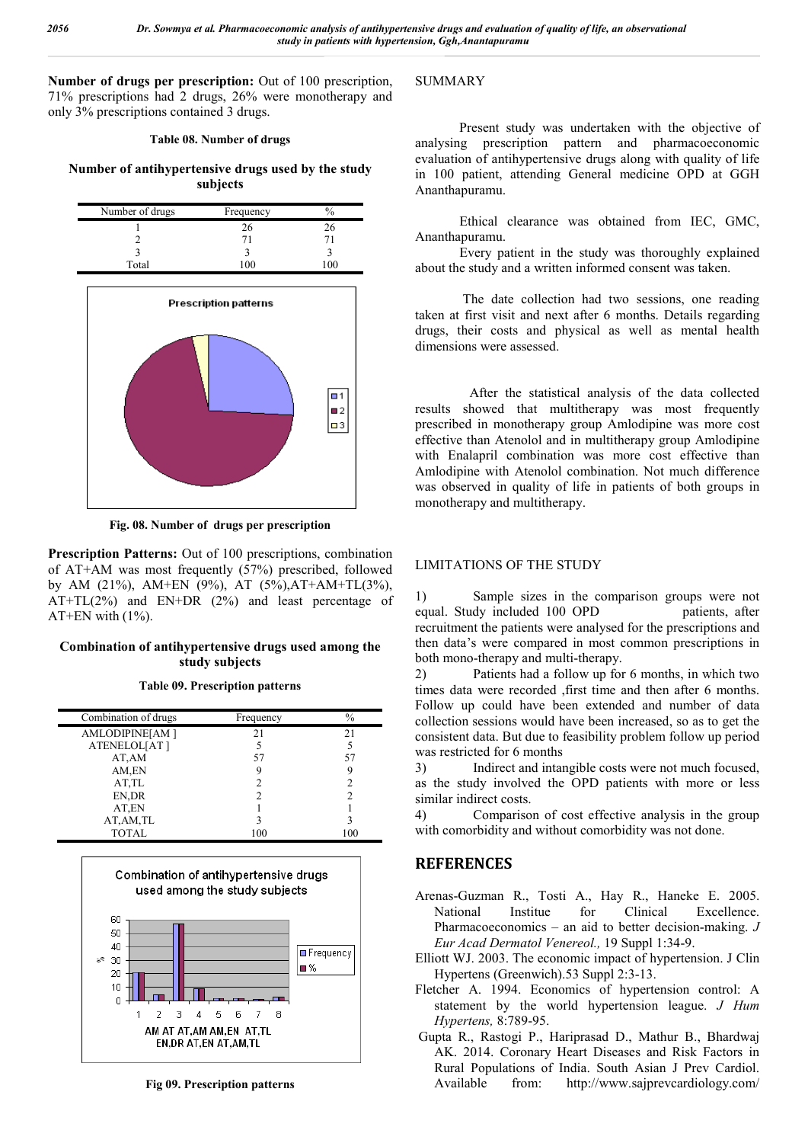**Number of drugs per prescription:** Out of 100 prescription, 71% prescriptions had 2 drugs, 26% were monotherapy and only 3% prescriptions contained 3 drugs.

## **Table 08. Number of drugs**

**Number of antihypertensive drugs used by the study subjects**



**Fig. 08. Number of drugs per prescription**

**Prescription Patterns:** Out of 100 prescriptions, combination of AT+AM was most frequently (57%) prescribed, followed by AM (21%), AM+EN (9%), AT (5%),AT+AM+TL(3%), AT+TL(2%) and EN+DR (2%) and least percentage of AT+EN with  $(1\%)$ .

# **Combination of antihypertensive drugs used among the study subjects**

**Table 09. Prescription patterns**

| Combination of drugs | Frequency | $\%$ |
|----------------------|-----------|------|
| AMLODIPINE[AM]       | 21        | 21   |
| ATENELOL[AT]         |           |      |
| AT, AM               | 57        | 57   |
| AM,EN                |           |      |
| AT,TL                |           |      |
| EN, DR               |           |      |
| AT,EN                |           |      |
| AT, AM, TL           |           |      |
| <b>TOTAL</b>         | 100       | 100  |



**Fig 09. Prescription patterns**

## SUMMARY

 Present study was undertaken with the objective of analysing prescription pattern and pharmacoeconomic evaluation of antihypertensive drugs along with quality of life in 100 patient, attending General medicine OPD at GGH Ananthapuramu.

 Ethical clearance was obtained from IEC, GMC, Ananthapuramu.

 Every patient in the study was thoroughly explained about the study and a written informed consent was taken.

 The date collection had two sessions, one reading taken at first visit and next after 6 months. Details regarding drugs, their costs and physical as well as mental health dimensions were assessed.

 After the statistical analysis of the data collected results showed that multitherapy was most frequently prescribed in monotherapy group Amlodipine was more cost effective than Atenolol and in multitherapy group Amlodipine with Enalapril combination was more cost effective than Amlodipine with Atenolol combination. Not much difference was observed in quality of life in patients of both groups in monotherapy and multitherapy.

## LIMITATIONS OF THE STUDY

1) Sample sizes in the comparison groups were not equal. Study included 100 OPD patients, after recruitment the patients were analysed for the prescriptions and then data's were compared in most common prescriptions in both mono-therapy and multi-therapy.

2) Patients had a follow up for 6 months, in which two times data were recorded ,first time and then after 6 months. Follow up could have been extended and number of data collection sessions would have been increased, so as to get the consistent data. But due to feasibility problem follow up period was restricted for 6 months

3) Indirect and intangible costs were not much focused, as the study involved the OPD patients with more or less similar indirect costs.

4) Comparison of cost effective analysis in the group with comorbidity and without comorbidity was not done.

# **REFERENCES**

- Arenas-Guzman R., Tosti A., Hay R., Haneke E. 2005. Excellence. Pharmacoeconomics – an aid to better decision-making. *J Eur Acad Dermatol Venereol.,* 19 Suppl 1:34-9.
- Elliott WJ. 2003. The economic impact of hypertension. J Clin Hypertens (Greenwich).53 Suppl 2:3-13.
- Fletcher A. 1994. Economics of hypertension control: A statement by the world hypertension league. *J Hum Hypertens,* 8:789-95.
- Gupta R., Rastogi P., Hariprasad D., Mathur B., Bhardwaj AK. 2014. Coronary Heart Diseases and Risk Factors in Rural Populations of India. South Asian J Prev Cardiol. Available from: http://www.sajprevcardiology.com/